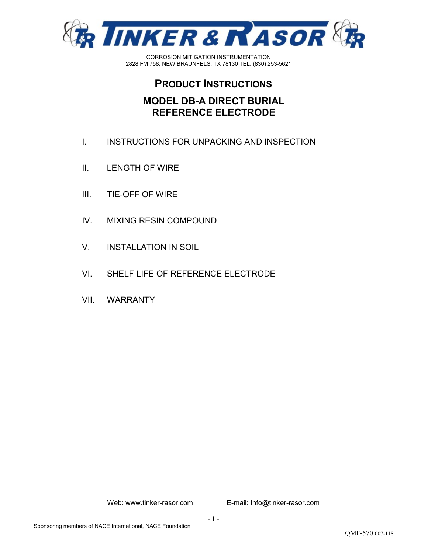

CORROSION MITIGATION INSTRUMENTATION 2828 FM 758, NEW BRAUNFELS, TX 78130 TEL: (830) 253-5621

# **PRODUCT INSTRUCTIONS**

### **MODEL DB-A DIRECT BURIAL REFERENCE ELECTRODE**

- I. INSTRUCTIONS FOR UNPACKING AND INSPECTION
- II. LENGTH OF WIRE
- III. TIE-OFF OF WIRE
- IV. MIXING RESIN COMPOUND
- V. INSTALLATION IN SOIL
- VI. SHELF LIFE OF REFERENCE ELECTRODE
- VII. WARRANTY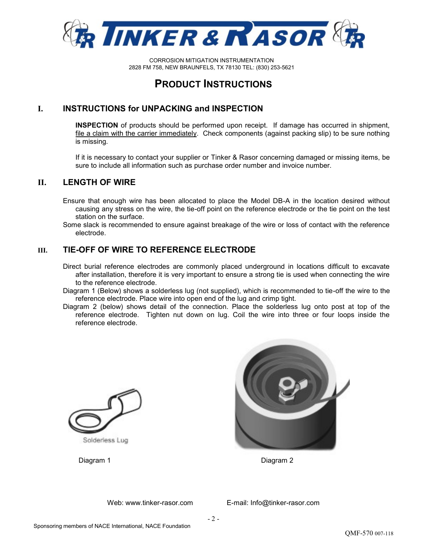

CORROSION MITIGATION INSTRUMENTATION 2828 FM 758, NEW BRAUNFELS, TX 78130 TEL: (830) 253-5621

# **PRODUCT INSTRUCTIONS**

### **I. INSTRUCTIONS for UNPACKING and INSPECTION**

**INSPECTION** of products should be performed upon receipt. If damage has occurred in shipment, file a claim with the carrier immediately. Check components (against packing slip) to be sure nothing is missing.

If it is necessary to contact your supplier or Tinker & Rasor concerning damaged or missing items, be sure to include all information such as purchase order number and invoice number.

### **II. LENGTH OF WIRE**

- Ensure that enough wire has been allocated to place the Model DB-A in the location desired without causing any stress on the wire, the tie-off point on the reference electrode or the tie point on the test station on the surface.
- Some slack is recommended to ensure against breakage of the wire or loss of contact with the reference electrode.

### **III. TIE-OFF OF WIRE TO REFERENCE ELECTRODE**

- Direct burial reference electrodes are commonly placed underground in locations difficult to excavate after installation, therefore it is very important to ensure a strong tie is used when connecting the wire to the reference electrode.
- Diagram 1 (Below) shows a solderless lug (not supplied), which is recommended to tie-off the wire to the reference electrode. Place wire into open end of the lug and crimp tight.
- Diagram 2 (below) shows detail of the connection. Place the solderless lug onto post at top of the reference electrode. Tighten nut down on lug. Coil the wire into three or four loops inside the reference electrode.





Diagram 1 Diagram 2

Web: www.tinker-rasor.com E-mail: Info@tinker-rasor.com